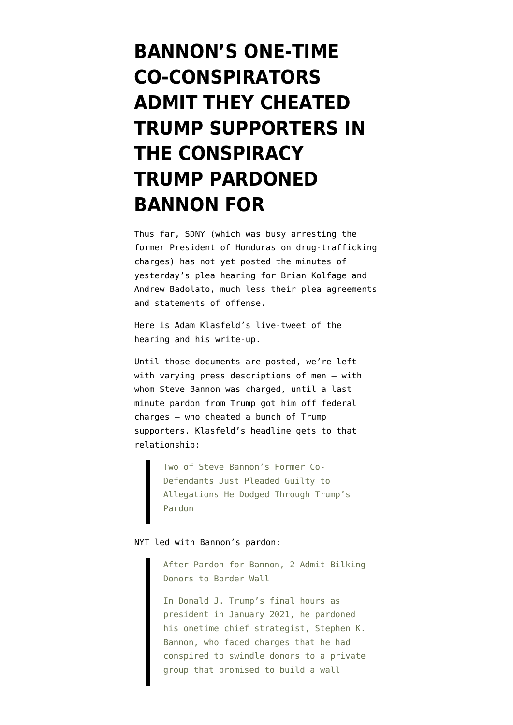## **[BANNON'S ONE-TIME](https://www.emptywheel.net/2022/04/22/bannons-one-time-co-conspirators-admit-they-cheated-trump-supporters-in-the-conspiracy-trump-pardoned-bannon-for/) [CO-CONSPIRATORS](https://www.emptywheel.net/2022/04/22/bannons-one-time-co-conspirators-admit-they-cheated-trump-supporters-in-the-conspiracy-trump-pardoned-bannon-for/) [ADMIT THEY CHEATED](https://www.emptywheel.net/2022/04/22/bannons-one-time-co-conspirators-admit-they-cheated-trump-supporters-in-the-conspiracy-trump-pardoned-bannon-for/) [TRUMP SUPPORTERS IN](https://www.emptywheel.net/2022/04/22/bannons-one-time-co-conspirators-admit-they-cheated-trump-supporters-in-the-conspiracy-trump-pardoned-bannon-for/) [THE CONSPIRACY](https://www.emptywheel.net/2022/04/22/bannons-one-time-co-conspirators-admit-they-cheated-trump-supporters-in-the-conspiracy-trump-pardoned-bannon-for/) [TRUMP PARDONED](https://www.emptywheel.net/2022/04/22/bannons-one-time-co-conspirators-admit-they-cheated-trump-supporters-in-the-conspiracy-trump-pardoned-bannon-for/) [BANNON FOR](https://www.emptywheel.net/2022/04/22/bannons-one-time-co-conspirators-admit-they-cheated-trump-supporters-in-the-conspiracy-trump-pardoned-bannon-for/)**

Thus far, SDNY (which was busy [arresting the](https://www.justice.gov/usao-sdny/pr/juan-orlando-hernandez-former-president-honduras-extradited-united-states-drug) [former President of Honduras](https://www.justice.gov/usao-sdny/pr/juan-orlando-hernandez-former-president-honduras-extradited-united-states-drug) on drug-trafficking charges) has not yet posted the minutes of yesterday's [plea hearing for Brian Kolfage and](https://www.justice.gov/usao-sdny/pr/two-leaders-we-build-wall-online-fundraising-campaign-plead-guilty-defrauding-hundreds) [Andrew Badolato,](https://www.justice.gov/usao-sdny/pr/two-leaders-we-build-wall-online-fundraising-campaign-plead-guilty-defrauding-hundreds) much less their plea agreements and statements of offense.

Here is [Adam Klasfeld's live-tweet of the](https://twitter.com/KlasfeldReports/status/1517225131667595266) [hearing](https://twitter.com/KlasfeldReports/status/1517225131667595266) and [his write-up.](https://lawandcrime.com/high-profile/two-of-steve-bannons-former-co-defendants-just-pleaded-guilty-to-allegations-he-dodged-through-trumps-pardon/)

Until those documents are posted, we're left with varying press descriptions of men — with whom Steve Bannon was charged, until [a last](https://www.emptywheel.net/2021/01/20/bannon-turned-out-to-be-the-irreplaceable-one/) [minute pardon from Trump](https://www.emptywheel.net/2021/01/20/bannon-turned-out-to-be-the-irreplaceable-one/) got him [off federal](https://storage.courtlistener.com/recap/gov.uscourts.nysd.542569/gov.uscourts.nysd.542569.79.0.pdf) [charges](https://storage.courtlistener.com/recap/gov.uscourts.nysd.542569/gov.uscourts.nysd.542569.79.0.pdf) — who cheated a bunch of Trump supporters. Klasfeld's headline gets to that relationship:

> Two of Steve Bannon's Former Co-Defendants Just Pleaded Guilty to Allegations He Dodged Through Trump's Pardon

## NYT [led with Bannon's pardon](https://www.nytimes.com/2022/04/21/nyregion/trump-bannon-border-wall.html):

After Pardon for Bannon, 2 Admit Bilking Donors to Border Wall

In Donald J. Trump's final hours as president in January 2021, he pardoned his onetime chief strategist, Stephen K. Bannon, who faced charges that he had conspired to swindle donors to a private group that promised to build a wall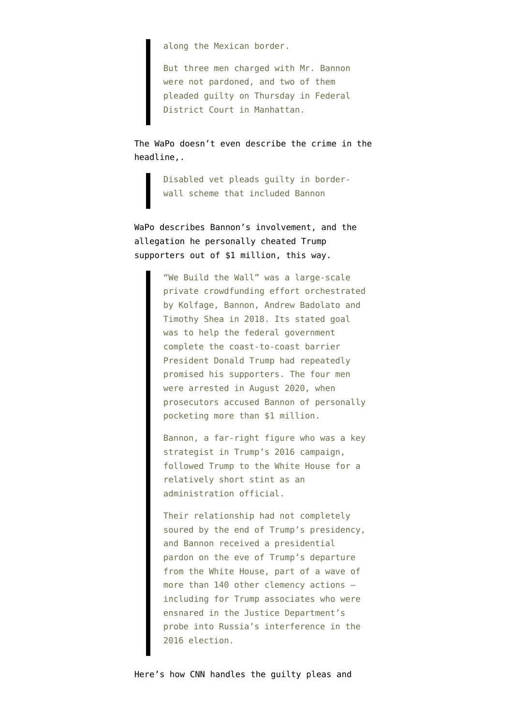along the Mexican border.

But three men charged with Mr. Bannon were not pardoned, and two of them pleaded guilty on Thursday in Federal District Court in Manhattan.

The WaPo [doesn't even describe the crime](https://www.washingtonpost.com/national-security/2022/04/21/kolfage-bannon-wall-plea/) in the headline,.

> Disabled vet pleads guilty in borderwall scheme that included Bannon

WaPo describes Bannon's involvement, and the allegation he personally cheated Trump supporters out of \$1 million, this way.

> "We Build the Wall" was a large-scale private crowdfunding effort orchestrated by Kolfage, Bannon, Andrew Badolato and Timothy Shea in 2018. Its stated goal was to help the federal government complete the coast-to-coast barrier President Donald Trump had repeatedly promised his supporters. The four men were arrested in August 2020, when prosecutors accused Bannon of personally pocketing more than \$1 million.

> Bannon, a far-right figure who was a key strategist in Trump's 2016 campaign, followed Trump to the White House for a relatively short stint as an administration official.

> Their relationship had not completely soured by the end of Trump's presidency, and Bannon received a presidential pardon on the eve of Trump's departure from the White House, part of a wave of more than 140 other clemency actions including for Trump associates who were ensnared in the Justice Department's probe into Russia's interference in the 2016 election.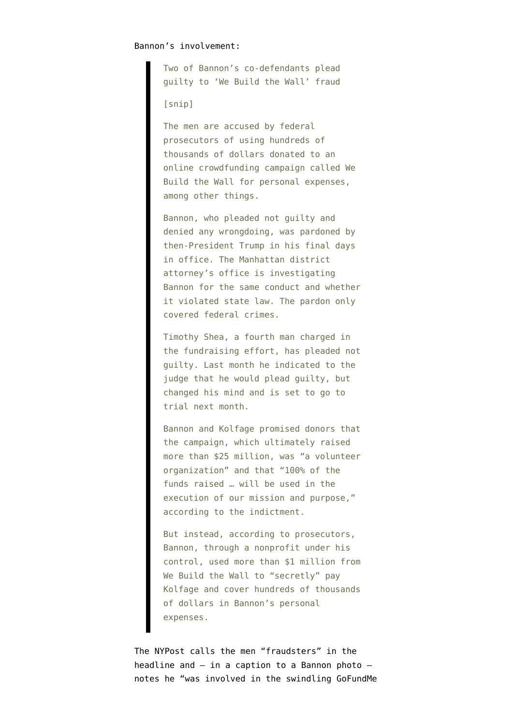Two of Bannon's co-defendants plead guilty to 'We Build the Wall' fraud

[snip]

The men are accused by federal prosecutors of using hundreds of thousands of dollars donated to an online crowdfunding campaign called We Build the Wall for personal expenses, among other things.

Bannon, who pleaded not guilty and denied any wrongdoing, was pardoned by then-President Trump in his final days in office. The Manhattan district attorney's office is investigating Bannon for the same conduct and whether it violated state law. The pardon only covered federal crimes.

Timothy Shea, a fourth man charged in the fundraising effort, has pleaded not guilty. Last month he indicated to the judge that he would plead guilty, but changed his mind and is set to go to trial next month.

Bannon and Kolfage promised donors that the campaign, which ultimately raised more than \$25 million, was "a volunteer organization" and that "100% of the funds raised … will be used in the execution of our mission and purpose," according to the indictment.

But instead, according to prosecutors, Bannon, through a nonprofit under his control, used more than \$1 million from We Build the Wall to "secretly" pay Kolfage and cover hundreds of thousands of dollars in Bannon's personal expenses.

The NYPost [calls the men](https://nypost.com/2022/04/21/we-build-the-wall-fraudsters-brian-kolfage-and-andrew-badolato-plead-guilty/) "fraudsters" in the headline and  $-$  in a caption to a Bannon photo  $$ notes he "was involved in the swindling GoFundMe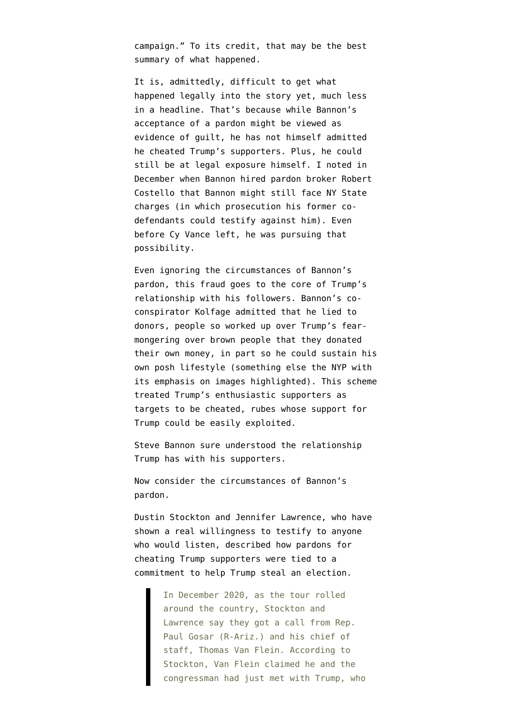campaign." To its credit, that may be the best summary of what happened.

It is, admittedly, difficult to get what happened legally into the story yet, much less in a headline. That's because while Bannon's acceptance of a pardon might be viewed as evidence of guilt, he has not himself admitted he cheated Trump's supporters. Plus, he could still be at legal exposure himself. I [noted in](https://www.emptywheel.net/2020/12/11/steve-bannon-hires-a-pardon-broker-and-rudy-giuliani-lawyer-to-replace-his-competent-lawyer/) [December](https://www.emptywheel.net/2020/12/11/steve-bannon-hires-a-pardon-broker-and-rudy-giuliani-lawyer-to-replace-his-competent-lawyer/) when Bannon hired pardon broker Robert Costello that Bannon might still face NY State charges (in which prosecution his former codefendants could testify against him). Even before Cy Vance left, he was [pursuing that](https://www.washingtonpost.com/national-security/steven-bannon-fraud-state-case-pardon-trump/2021/02/02/329cea4e-6596-11eb-8c64-9595888caa15_story.html) [possibility](https://www.washingtonpost.com/national-security/steven-bannon-fraud-state-case-pardon-trump/2021/02/02/329cea4e-6596-11eb-8c64-9595888caa15_story.html).

Even ignoring the circumstances of Bannon's pardon, this fraud goes to the core of Trump's relationship with his followers. Bannon's coconspirator Kolfage admitted that he lied to donors, people so worked up over Trump's fearmongering over brown people that they donated their own money, in part so he could sustain his own posh lifestyle (something else the NYP with its emphasis on images highlighted). This scheme treated Trump's enthusiastic supporters as targets to be cheated, rubes whose support for Trump could be easily exploited.

Steve Bannon sure understood the relationship Trump has with his supporters.

Now consider the circumstances of Bannon's pardon.

Dustin Stockton and Jennifer Lawrence, who have shown a real willingness to testify to anyone who would listen, [described how](https://www.rollingstone.com/politics/politics-features/jan6-rally-trump-2020-election-capitol-congress-gosar-1253392/) pardons for cheating Trump supporters were tied to a commitment to help Trump steal an election.

> In December 2020, as the tour rolled around the country, Stockton and Lawrence say they got a call from Rep. Paul Gosar (R-Ariz.) and his chief of staff, Thomas Van Flein. According to Stockton, Van Flein claimed he and the congressman had just met with Trump, who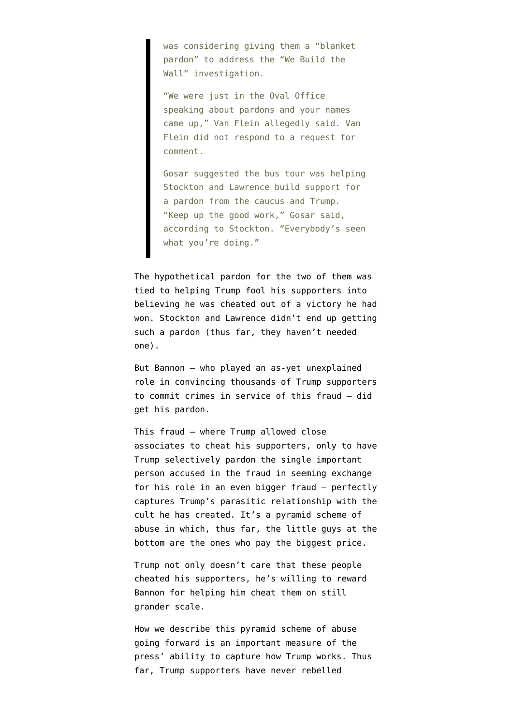was considering giving them a "blanket pardon" to address the "We Build the Wall" investigation.

"We were just in the Oval Office speaking about pardons and your names came up," Van Flein allegedly said. Van Flein did not respond to a request for comment.

Gosar suggested the bus tour was helping Stockton and Lawrence build support for a pardon from the caucus and Trump. "Keep up the good work," Gosar said, according to Stockton. "Everybody's seen what you're doing."

The hypothetical pardon for the two of them was tied to helping Trump fool his supporters into believing he was cheated out of a victory he had won. Stockton and Lawrence didn't end up getting such a pardon (thus far, they haven't needed one).

But Bannon — who played an as-yet unexplained role in convincing thousands of Trump supporters to commit crimes in service of this fraud — did get his pardon.

This fraud — where Trump allowed close associates to cheat his supporters, only to have Trump selectively pardon the single important person accused in the fraud in seeming exchange for his role in an even bigger fraud — perfectly captures Trump's parasitic relationship with the cult he has created. It's a pyramid scheme of abuse in which, thus far, the little guys at the bottom are the ones who pay the biggest price.

Trump not only doesn't care that these people cheated his supporters, he's willing to reward Bannon for helping him cheat them on still grander scale.

How we describe this pyramid scheme of abuse going forward is an important measure of the press' ability to capture how Trump works. Thus far, Trump supporters have never rebelled